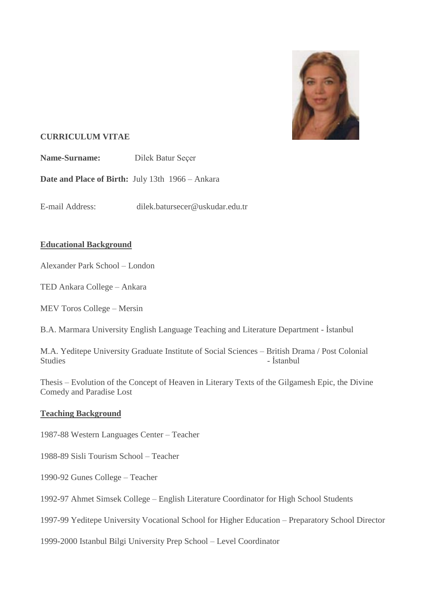

# **CURRICULUM VITAE**

**Name-Surname:** Dilek Batur Secer

**Date and Place of Birth:** July 13th 1966 – Ankara

E-mail Address: dilek.batursecer@uskudar.edu.tr

# **Educational Background**

Alexander Park School – London

TED Ankara College – Ankara

MEV Toros College – Mersin

B.A. Marmara University English Language Teaching and Literature Department - İstanbul

M.A. Yeditepe University Graduate Institute of Social Sciences – British Drama / Post Colonial Studies - Istanbul

Thesis – Evolution of the Concept of Heaven in Literary Texts of the Gilgamesh Epic, the Divine Comedy and Paradise Lost

# **Teaching Background**

1987-88 Western Languages Center – Teacher

1988-89 Sisli Tourism School – Teacher

1990-92 Gunes College – Teacher

1992-97 Ahmet Simsek College – English Literature Coordinator for High School Students

1997-99 Yeditepe University Vocational School for Higher Education – Preparatory School Director

1999-2000 Istanbul Bilgi University Prep School – Level Coordinator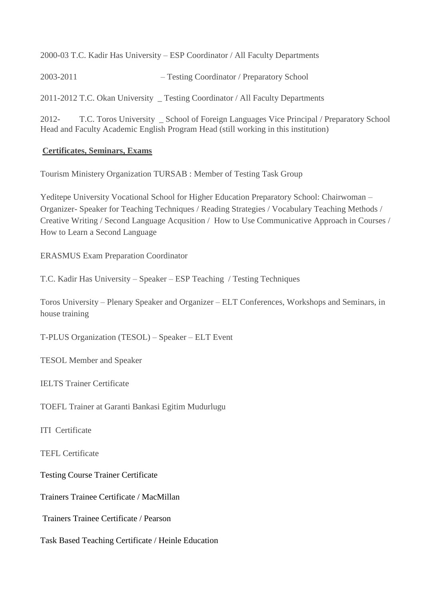2000-03 T.C. Kadir Has University – ESP Coordinator / All Faculty Departments

2003-2011 – Testing Coordinator / Preparatory School

2011-2012 T.C. Okan University \_ Testing Coordinator / All Faculty Departments

2012- T.C. Toros University \_ School of Foreign Languages Vice Principal / Preparatory School Head and Faculty Academic English Program Head (still working in this institution)

## **Certificates, Seminars, Exams**

Tourism Ministery Organization TURSAB : Member of Testing Task Group

Yeditepe University Vocational School for Higher Education Preparatory School: Chairwoman – Organizer- Speaker for Teaching Techniques / Reading Strategies / Vocabulary Teaching Methods / Creative Writing / Second Language Acqusition / How to Use Communicative Approach in Courses / How to Learn a Second Language

ERASMUS Exam Preparation Coordinator

T.C. Kadir Has University – Speaker – ESP Teaching / Testing Techniques

Toros University – Plenary Speaker and Organizer – ELT Conferences, Workshops and Seminars, in house training

T-PLUS Organization (TESOL) – Speaker – ELT Event

TESOL Member and Speaker

IELTS Trainer Certificate

TOEFL Trainer at Garanti Bankasi Egitim Mudurlugu

ITI Certificate

TEFL Certificate

Testing Course Trainer Certificate

Trainers Trainee Certificate / MacMillan

Trainers Trainee Certificate / Pearson

Task Based Teaching Certificate / Heinle Education